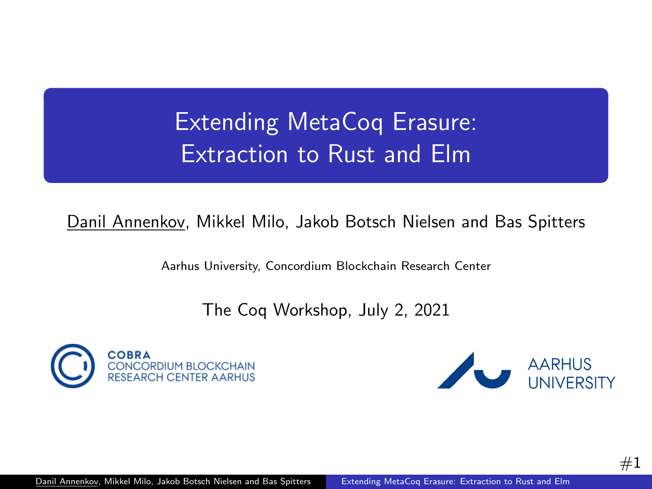# <span id="page-0-0"></span>Extending MetaCoq Erasure: Extraction to Rust and Elm

Danil Annenkov, Mikkel Milo, Jakob Botsch Nielsen and Bas Spitters

Aarhus University, Concordium Blockchain Research Center

The Coq Workshop, July 2, 2021



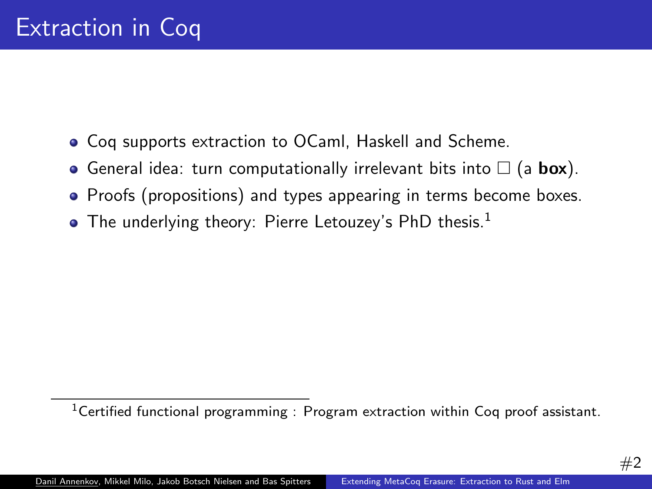- Coq supports extraction to OCaml, Haskell and Scheme.
- General idea: turn computationally irrelevant bits into  $\Box$  (a **box**).
- Proofs (propositions) and types appearing in terms become boxes.
- $\bullet$  The underlying theory: Pierre Letouzey's PhD thesis.<sup>1</sup>

<sup>1</sup>Certified functional programming : Program extraction within Coq proof assistant.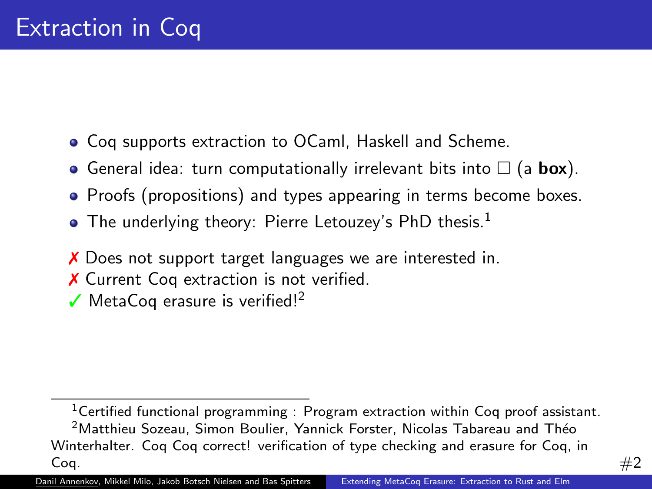- Coq supports extraction to OCaml, Haskell and Scheme.
- General idea: turn computationally irrelevant bits into  $\Box$  (a **box**).
- Proofs (propositions) and types appearing in terms become boxes.
- $\bullet$  The underlying theory: Pierre Letouzey's PhD thesis.<sup>1</sup>
- ✗ Does not support target languages we are interested in.
- ✗ Current Coq extraction is not verified.
- $\sqrt{\frac{1}{2}}$  MetaCoq erasure is verified!<sup>2</sup>

<sup>1</sup>Certified functional programming : Program extraction within Coq proof assistant. <sup>2</sup>Matthieu Sozeau, Simon Boulier, Yannick Forster, Nicolas Tabareau and Théo Winterhalter. Coq Coq correct! verification of type checking and erasure for Coq, in Coq.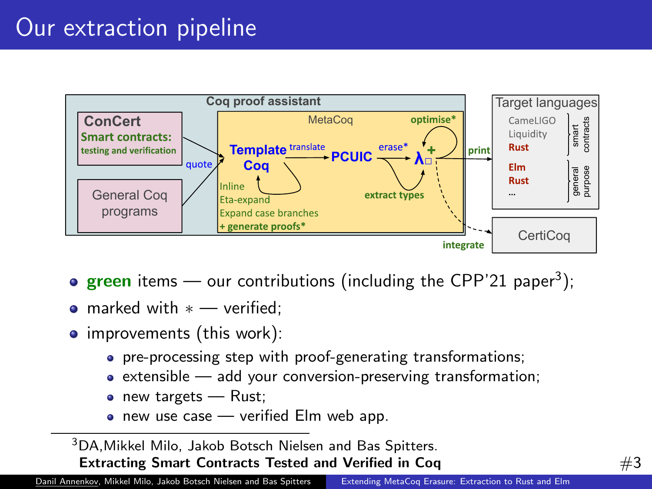## Our extraction pipeline



- green items our contributions (including the CPP'21 paper<sup>3</sup>);
- marked with  $*$  verified:
- improvements (this work):
	- pre-processing step with proof-generating transformations;
	- extensible add your conversion-preserving transformation;
	- new targets Rust;
	- $\bullet$  new use case verified Elm web app.

<sup>3</sup>DA, Mikkel Milo, Jakob Botsch Nielsen and Bas Spitters. Extracting Smart Contracts Tested and Verified in Coq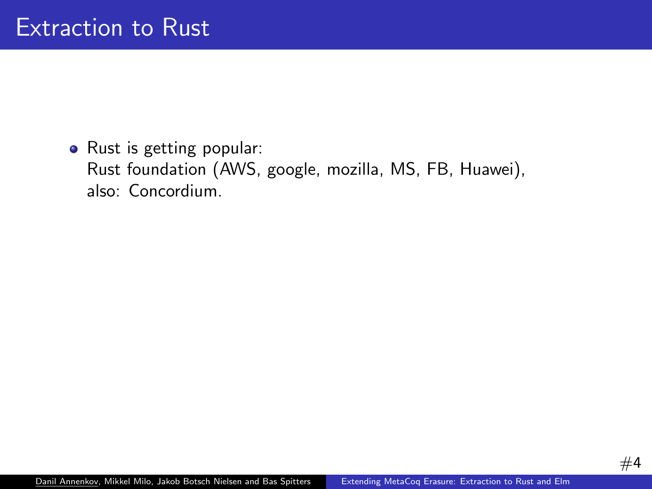• Rust is getting popular: Rust foundation (AWS, google, mozilla, MS, FB, Huawei), also: Concordium.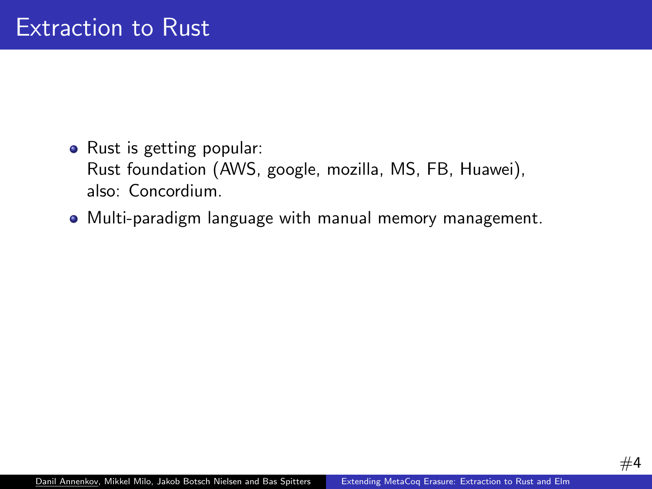• Rust is getting popular:

Rust foundation (AWS, google, mozilla, MS, FB, Huawei), also: Concordium.

Multi-paradigm language with manual memory management.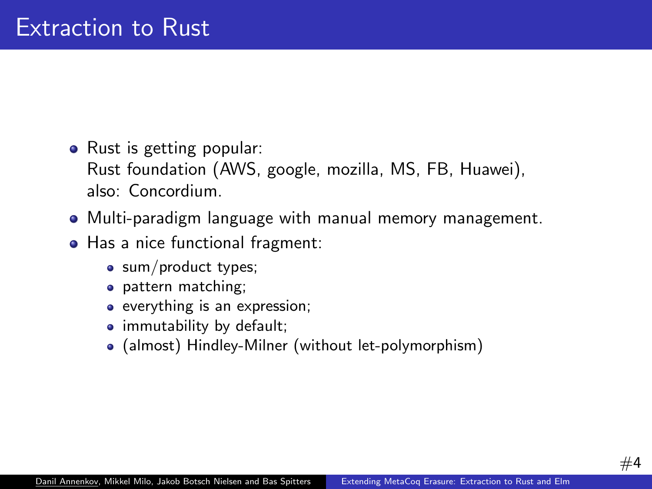• Rust is getting popular:

Rust foundation (AWS, google, mozilla, MS, FB, Huawei), also: Concordium.

- Multi-paradigm language with manual memory management.
- Has a nice functional fragment:
	- sum/product types;
	- pattern matching;
	- everything is an expression;
	- immutability by default;
	- (almost) Hindley-Milner (without let-polymorphism)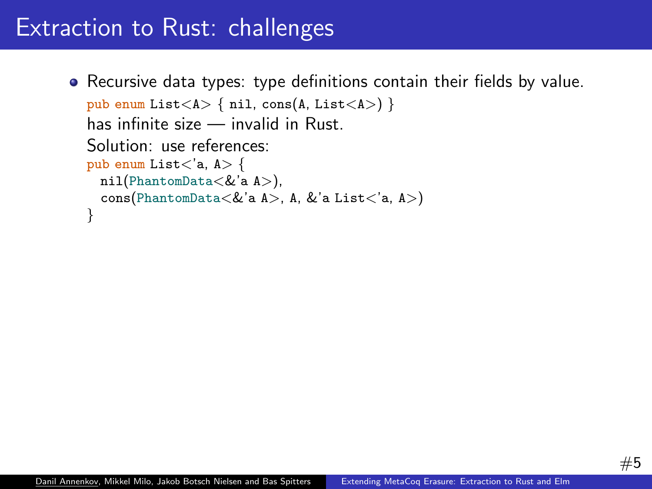```
Recursive data types: type definitions contain their fields by value.
  pub enum List < A > { nil, cons(A, List < A > \end{A}
  has infinite size — invalid in Rust.
  Solution: use references:
  pub enum List\langle a, A \rangle {
    nil(PhantomData<&'a A>),
    cons(PhantomData<&'a A>, A, &'a List<'a, A>)
  }
```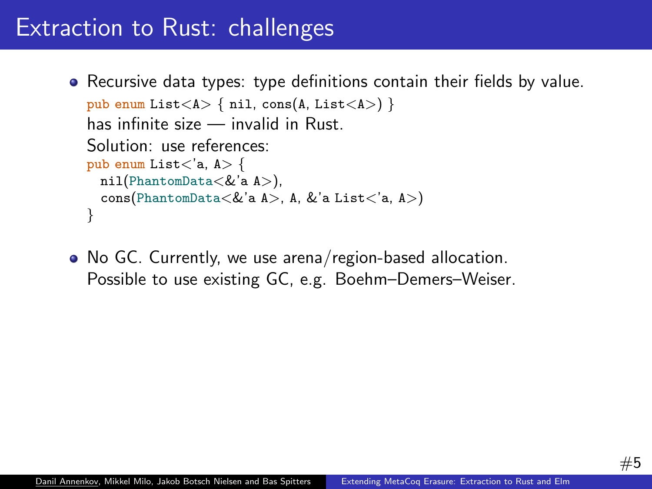- Recursive data types: type definitions contain their fields by value. pub enum List < A > { nil, cons(A, List < A > \end{A} has infinite size — invalid in Rust. Solution: use references: pub enum List $\langle a, A \rangle$  { nil(PhantomData<&'a A>), cons(PhantomData<&'a A>, A, &'a List<'a, A>) }
- No GC. Currently, we use arena/region-based allocation. Possible to use existing GC, e.g. Boehm–Demers–Weiser.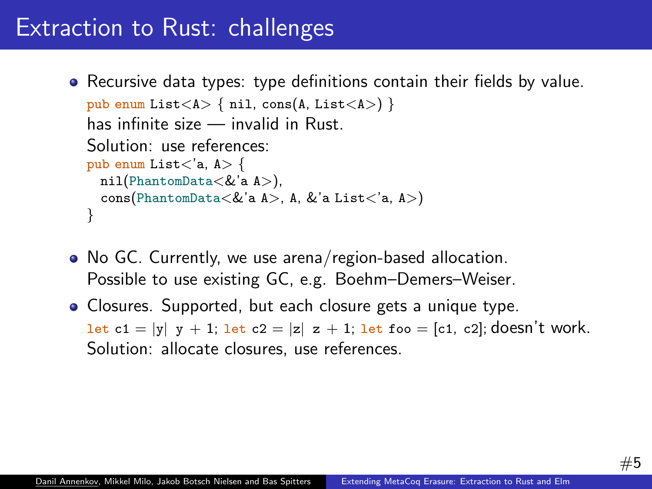- Recursive data types: type definitions contain their fields by value. pub enum List < A > { nil, cons(A, List < A > \end{A} has infinite size — invalid in Rust. Solution: use references: pub enum List $\langle a, A \rangle$  { nil(PhantomData<&'a A>),  $\cos(\text{PhantomData} < \& a \land \text{A} > \text{A}, \& a \text{ List} < a \land \text{A} > \text{A})$ }
- No GC. Currently, we use arena/region-based allocation. Possible to use existing GC, e.g. Boehm–Demers–Weiser.
- Closures. Supported, but each closure gets a unique type. let  $c1 = |y|$  y + 1; let  $c2 = |z|$  z + 1; let foo = [c1, c2]; doesn't work. Solution: allocate closures, use references.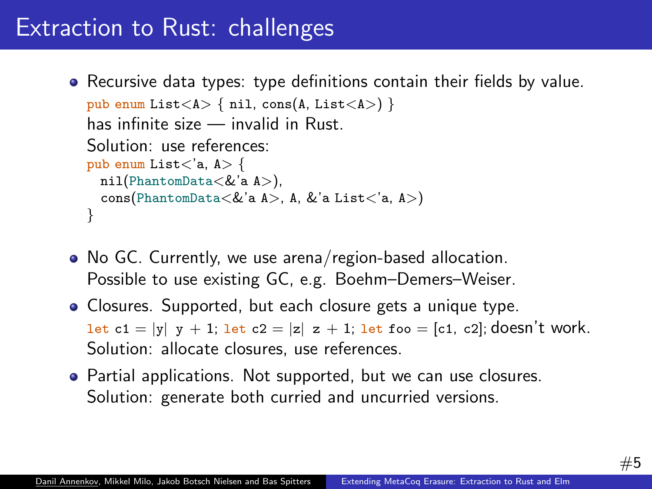- Recursive data types: type definitions contain their fields by value. pub enum List < A > { nil, cons(A, List < A > \end{A} has infinite size — invalid in Rust. Solution: use references: pub enum List $\langle a, A \rangle$  { nil(PhantomData<&'a A>),  $\cos(\text{PhantomData} < \& \text{'a A} > \text{A}, \& \text{'a List} < \text{'a, A}$ }
- No GC. Currently, we use arena/region-based allocation. Possible to use existing GC, e.g. Boehm–Demers–Weiser.
- Closures. Supported, but each closure gets a unique type. let  $c1 = |y|$  y + 1; let  $c2 = |z|$  z + 1; let foo = [c1, c2]; doesn't work. Solution: allocate closures, use references.
- Partial applications. Not supported, but we can use closures. Solution: generate both curried and uncurried versions.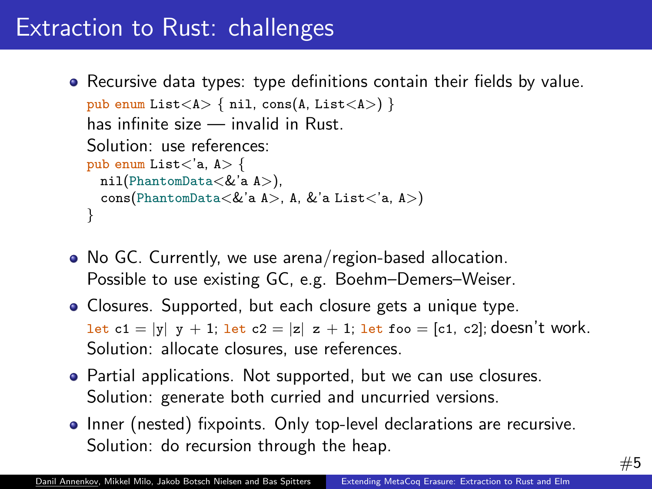- Recursive data types: type definitions contain their fields by value. pub enum List < A > { nil, cons(A, List < A > \end{A} has infinite size — invalid in Rust. Solution: use references: pub enum List $\langle a, A \rangle$  { nil(PhantomData<&'a A>),  $\cos(\text{PhantomData} < \& a \land \text{A} > \text{A}, \& a \text{ List} < a \land \text{A} > \text{A})$ }
- No GC. Currently, we use arena/region-based allocation. Possible to use existing GC, e.g. Boehm–Demers–Weiser.
- Closures. Supported, but each closure gets a unique type. let  $c1 = |y|$  y + 1; let  $c2 = |z|$  z + 1; let foo = [c1, c2]; doesn't work. Solution: allocate closures, use references.
- Partial applications. Not supported, but we can use closures. Solution: generate both curried and uncurried versions.
- Inner (nested) fixpoints. Only top-level declarations are recursive. Solution: do recursion through the heap.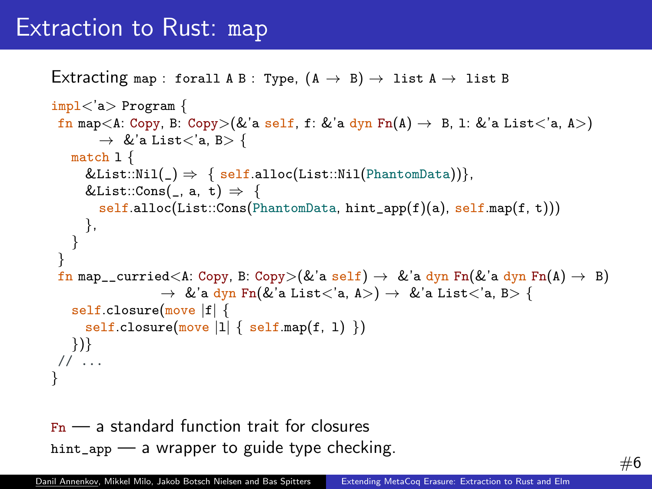#### Extraction to Rust: map

```
Extracting map : forall A B : Type, (A \rightarrow B) \rightarrow list A \rightarrow list B
```

```
impl<'a> Program {
 fn map<A: Copy, B: Copy>(&'a self, f: &'a dyn Fn(A) \rightarrow B, 1: &'a List<'a, A>)
        \rightarrow &'a List<'a, B> {
   match 1 \{&List::Nil( )\Rightarrow { self.alloc(List::Nil(PhantomData)) },
     &List::Cons(\Box, a, t) \Rightarrow {
        self.alloc(List::Cons(PhantomData, hint_app(f)(a), self.map(f, t)))
     },
   }
 }
 fn map_curried<A: Copy, B: Copy>(\&'a self) \rightarrow \&'a dyn Fn(\&'a dyn Fn(A) \rightarrow B)\rightarrow &'a dyn Fn(&'a List <'a, A >) \rightarrow &'a List <'a, B > {
   self.closure(move |f| {
     self.closure(move |1| { self.map(f, 1) })
  })}
// ...
}
```
 $F_n$  — a standard function trait for closures hint\_app — a wrapper to guide type checking.

#6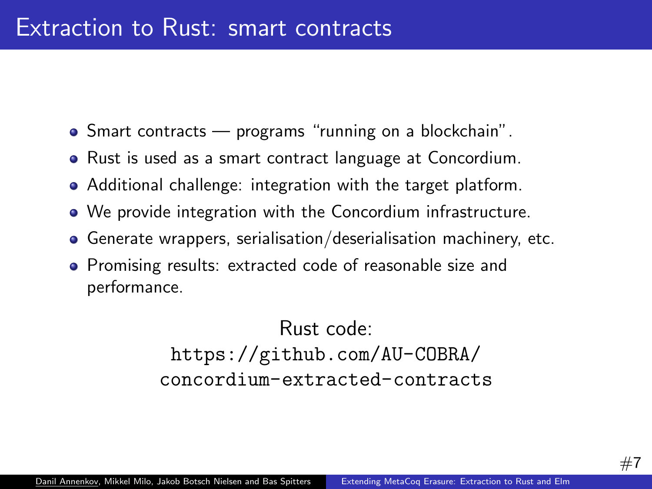- Smart contracts programs "running on a blockchain".
- Rust is used as a smart contract language at Concordium.
- Additional challenge: integration with the target platform.
- We provide integration with the Concordium infrastructure.
- Generate wrappers, serialisation/deserialisation machinery, etc.
- Promising results: extracted code of reasonable size and performance.

Rust code: [https://github.com/AU-COBRA/](https://github.com/AU-COBRA/concordium-extracted-contracts) [concordium-extracted-contracts](https://github.com/AU-COBRA/concordium-extracted-contracts)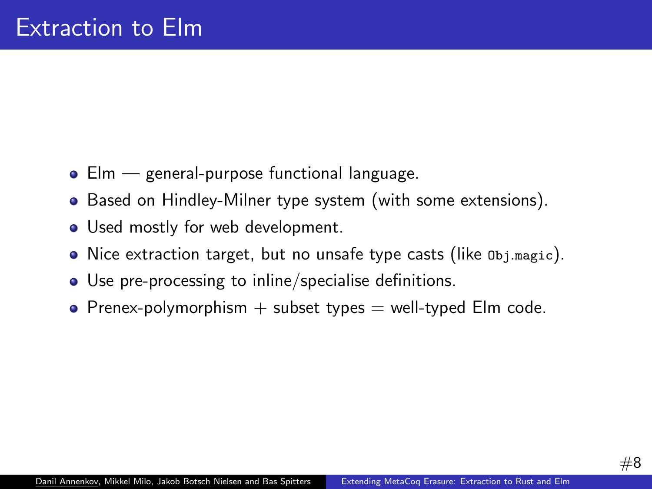- Elm general-purpose functional language.
- Based on Hindley-Milner type system (with some extensions).
- Used mostly for web development.
- Nice extraction target, but no unsafe type casts (like Obj.magic).
- Use pre-processing to inline/specialise definitions.
- Prenex-polymorphism  $+$  subset types  $=$  well-typed Elm code.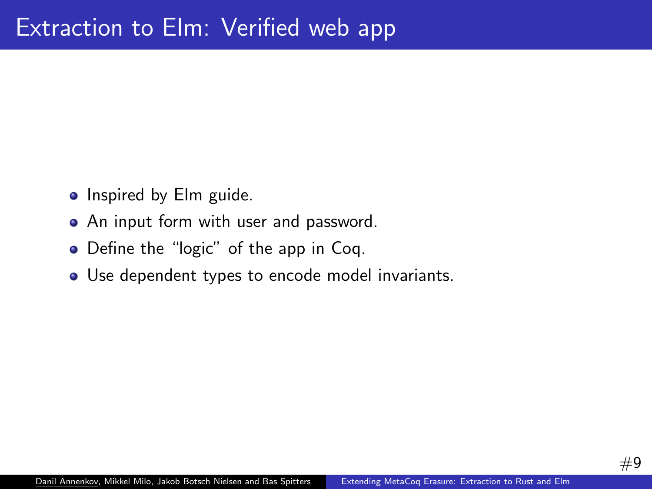- Inspired by Elm guide.
- An input form with user and password.
- Define the "logic" of the app in Coq.
- Use dependent types to encode model invariants.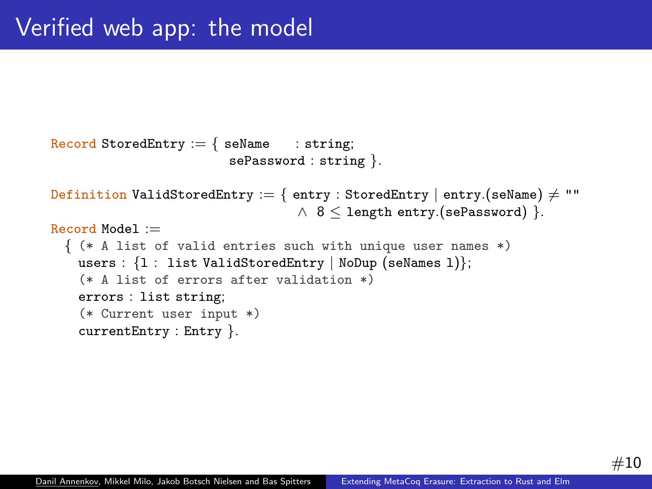```
Record StoredEntry := \{ seName : string;
                         sePassword : string }.
Definition ValidStoredEntry := { entry : StoredEntry | entry.(seName) \neq ""
                                   \wedge 8 < length entry. (sePassword) }.
Record Model :=
  { (* A list of valid entries such with unique user names *)
   users : {1 : list ValidStoredEntry | NoDup (seNames 1)};
    (* A list of errors after validation *)
   errors : list string;
    (* Current user input *)
   currentEntry : Entry }.
```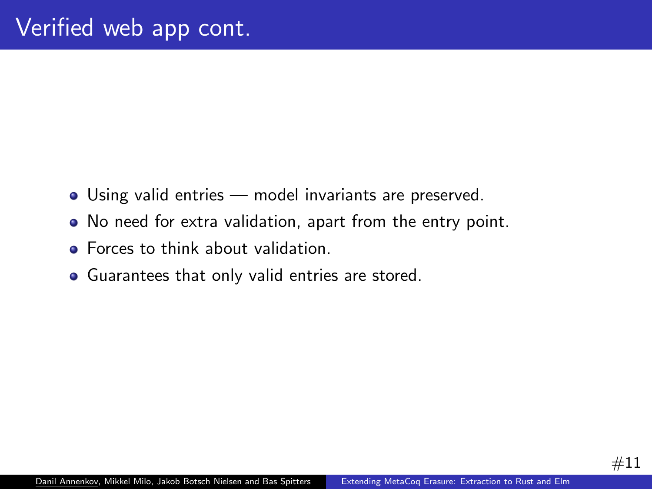- Using valid entries model invariants are preserved.
- No need for extra validation, apart from the entry point.
- **•** Forces to think about validation.
- Guarantees that only valid entries are stored.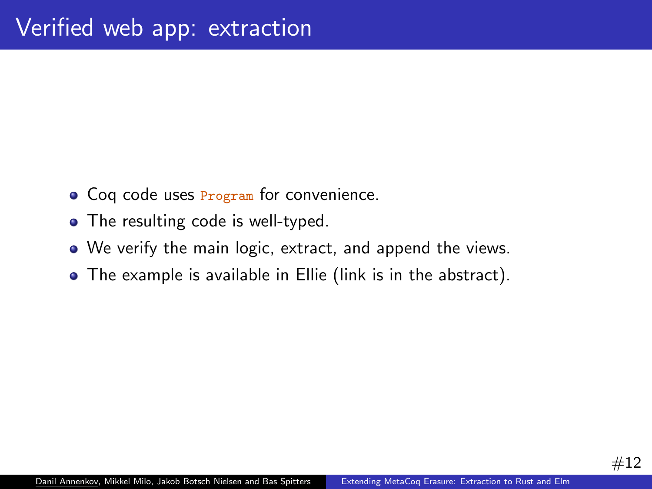- Coq code uses **Program** for convenience.
- The resulting code is well-typed.
- We verify the main logic, extract, and append the views.
- The example is available in Ellie (link is in the abstract).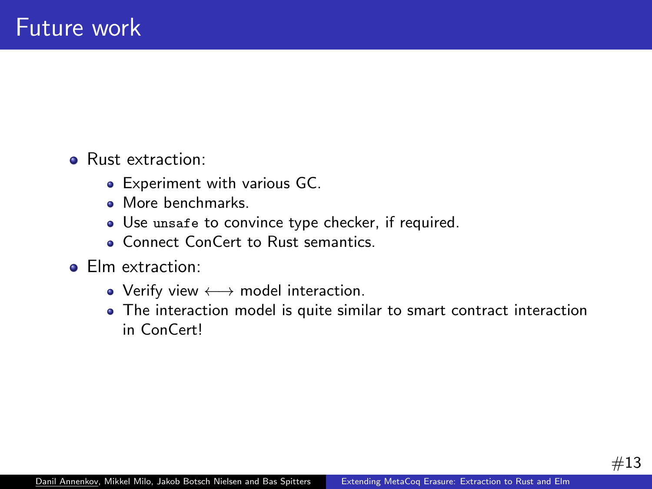- **a** Rust extraction:
	- Experiment with various GC.
	- **More benchmarks**
	- Use unsafe to convince type checker, if required.
	- **Connect ConCert to Rust semantics.**
- **e** Flm extraction:
	- Verify view ←→ model interaction.
	- The interaction model is quite similar to smart contract interaction in ConCert!